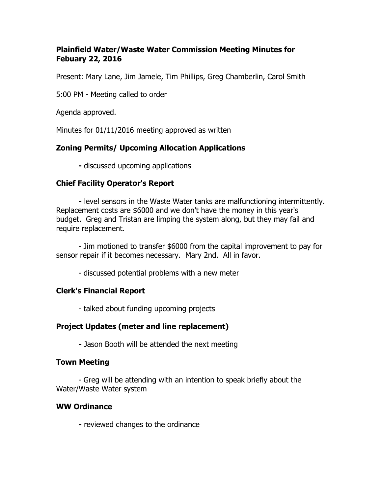#### **Plainfield Water/Waste Water Commission Meeting Minutes for Febuary 22, 2016**

Present: Mary Lane, Jim Jamele, Tim Phillips, Greg Chamberlin, Carol Smith

5:00 PM - Meeting called to order

Agenda approved.

Minutes for 01/11/2016 meeting approved as written

### **Zoning Permits/ Upcoming Allocation Applications**

**-** discussed upcoming applications

### **Chief Facility Operator's Report**

**-** level sensors in the Waste Water tanks are malfunctioning intermittently. Replacement costs are \$6000 and we don't have the money in this year's budget. Greg and Tristan are limping the system along, but they may fail and require replacement.

- Jim motioned to transfer \$6000 from the capital improvement to pay for sensor repair if it becomes necessary. Mary 2nd. All in favor.

- discussed potential problems with a new meter

# **Clerk's Financial Report**

- talked about funding upcoming projects

# **Project Updates (meter and line replacement)**

**-** Jason Booth will be attended the next meeting

### **Town Meeting**

- Greg will be attending with an intention to speak briefly about the Water/Waste Water system

### **WW Ordinance**

**-** reviewed changes to the ordinance